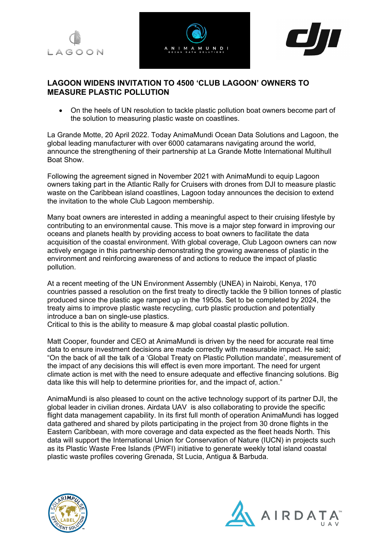





## **LAGOON WIDENS INVITATION TO 4500 'CLUB LAGOON' OWNERS TO MEASURE PLASTIC POLLUTION**

• On the heels of UN resolution to tackle plastic pollution boat owners become part of the solution to measuring plastic waste on coastlines.

La Grande Motte, 20 April 2022. Today AnimaMundi Ocean Data Solutions and Lagoon, the global leading manufacturer with over 6000 catamarans navigating around the world, announce the strengthening of their partnership at La Grande Motte International Multihull Boat Show.

Following the agreement signed in November 2021 with AnimaMundi to equip Lagoon owners taking part in the Atlantic Rally for Cruisers with drones from DJI to measure plastic waste on the Caribbean island coastlines, Lagoon today announces the decision to extend the invitation to the whole Club Lagoon membership.

Many boat owners are interested in adding a meaningful aspect to their cruising lifestyle by contributing to an environmental cause. This move is a major step forward in improving our oceans and planets health by providing access to boat owners to facilitate the data acquisition of the coastal environment. With global coverage, Club Lagoon owners can now actively engage in this partnership demonstrating the growing awareness of plastic in the environment and reinforcing awareness of and actions to reduce the impact of plastic pollution.

At a recent meeting of the UN Environment Assembly (UNEA) in Nairobi, Kenya, 170 countries passed a resolution on the first treaty to directly tackle the 9 billion tonnes of plastic produced since the plastic age ramped up in the 1950s. Set to be completed by 2024, the treaty aims to improve plastic waste recycling, curb plastic production and potentially introduce a ban on single-use plastics.

Critical to this is the ability to measure & map global coastal plastic pollution.

Matt Cooper, founder and CEO at AnimaMundi is driven by the need for accurate real time data to ensure investment decisions are made correctly with measurable impact. He said; "On the back of all the talk of a 'Global Treaty on Plastic Pollution mandate', measurement of the impact of any decisions this will effect is even more important. The need for urgent climate action is met with the need to ensure adequate and effective financing solutions. Big data like this will help to determine priorities for, and the impact of, action."

AnimaMundi is also pleased to count on the active technology support of its partner DJI, the global leader in civilian drones. Airdata UAV is also collaborating to provide the specific flight data management capability. In its first full month of operation AnimaMundi has logged data gathered and shared by pilots participating in the project from 30 drone flights in the Eastern Caribbean, with more coverage and data expected as the fleet heads North. This data will support the International Union for Conservation of Nature (IUCN) in projects such as its Plastic Waste Free Islands (PWFI) initiative to generate weekly total island coastal plastic waste profiles covering Grenada, St Lucia, Antigua & Barbuda.



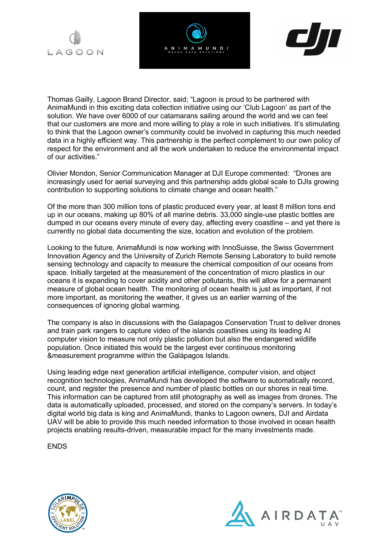





Thomas Gailly, Lagoon Brand Director, said; "Lagoon is proud to be partnered with AnimaMundi in this exciting data collection initiative using our 'Club Lagoon' as part of the solution. We have over 6000 of our catamarans sailing around the world and we can feel that our customers are more and more willing to play a role in such initiatives. It's stimulating to think that the Lagoon owner's community could be involved in capturing this much needed data in a highly efficient way. This partnership is the perfect complement to our own policy of respect for the environment and all the work undertaken to reduce the environmental impact of our activities."

Olivier Mondon, Senior Communication Manager at DJI Europe commented: "Drones are increasingly used for aerial surveying and this partnership adds global scale to DJIs growing contribution to supporting solutions to climate change and ocean health."

Of the more than 300 million tons of plastic produced every year, at least 8 million tons end up in our oceans, making up 80% of all marine debris. 33,000 single-use plastic bottles are dumped in our oceans every minute of every day, affecting every coastline – and yet there is currently no global data documenting the size, location and evolution of the problem.

Looking to the future, AnimaMundi is now working with InnoSuisse, the Swiss Government Innovation Agency and the University of Zurich Remote Sensing Laboratory to build remote sensing technology and capacity to measure the chemical composition of our oceans from space. Initially targeted at the measurement of the concentration of micro plastics in our oceans it is expanding to cover acidity and other pollutants, this will allow for a permanent measure of global ocean health. The monitoring of ocean health is just as important, if not more important, as monitoring the weather, it gives us an earlier warning of the consequences of ignoring global warming.

The company is also in discussions with the Galapagos Conservation Trust to deliver drones and train park rangers to capture video of the islands coastlines using its leading AI computer vision to measure not only plastic pollution but also the endangered wildlife population. Once initiated this would be the largest ever continuous monitoring &measurement programme within the Galápagos Islands.

Using leading edge next generation artificial intelligence, computer vision, and object recognition technologies, AnimaMundi has developed the software to automatically record, count, and register the presence and number of plastic bottles on our shores in real time. This information can be captured from still photography as well as images from drones. The data is automatically uploaded, processed, and stored on the company's servers. In today's digital world big data is king and AnimaMundi, thanks to Lagoon owners, DJI and Airdata UAV will be able to provide this much needed information to those involved in ocean health projects enabling results-driven, measurable impact for the many investments made.

**ENDS** 



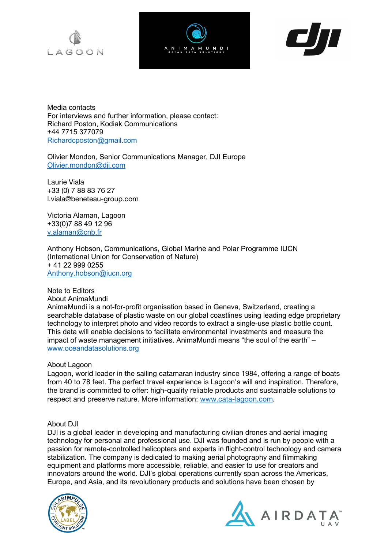





Media contacts For interviews and further information, please contact: Richard Poston, Kodiak Communications +44 7715 377079 Richardcposton@gmail.com

Olivier Mondon, Senior Communications Manager, DJI Europe Olivier.mondon@dji.com

Laurie Viala +33 (0) 7 88 83 76 27 l.viala@beneteau-group.com

Victoria Alaman, Lagoon +33(0)7 88 49 12 96 v.alaman@cnb.fr

Anthony Hobson, Communications, Global Marine and Polar Programme IUCN (International Union for Conservation of Nature) + 41 22 999 0255 Anthony.hobson@iucn.org

Note to Editors About AnimaMundi

AnimaMundi is a not-for-profit organisation based in Geneva, Switzerland, creating a searchable database of plastic waste on our global coastlines using leading edge proprietary technology to interpret photo and video records to extract a single-use plastic bottle count. This data will enable decisions to facilitate environmental investments and measure the impact of waste management initiatives. AnimaMundi means "the soul of the earth" – www.oceandatasolutions.org

## About Lagoon

Lagoon, world leader in the sailing catamaran industry since 1984, offering a range of boats from 40 to 78 feet. The perfect travel experience is Lagoon's will and inspiration. Therefore, the brand is committed to offer: high-quality reliable products and sustainable solutions to respect and preserve nature. More information: www.cata-lagoon.com.

## About DJI

DJI is a global leader in developing and manufacturing civilian drones and aerial imaging technology for personal and professional use. DJI was founded and is run by people with a passion for remote-controlled helicopters and experts in flight-control technology and camera stabilization. The company is dedicated to making aerial photography and filmmaking equipment and platforms more accessible, reliable, and easier to use for creators and innovators around the world. DJI's global operations currently span across the Americas, Europe, and Asia, and its revolutionary products and solutions have been chosen by